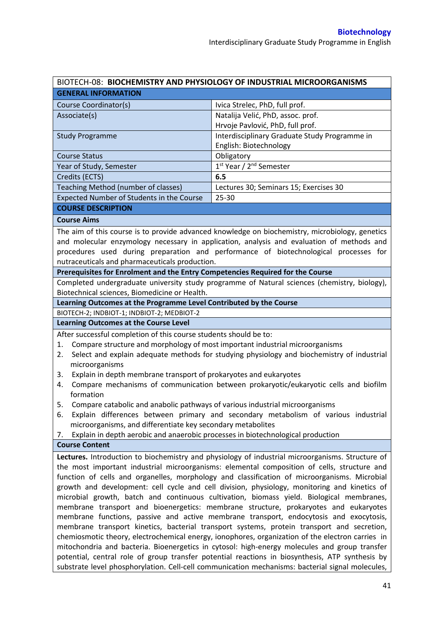|                                                                                                                                                                                             | BIOTECH-08: BIOCHEMISTRY AND PHYSIOLOGY OF INDUSTRIAL MICROORGANISMS                             |  |  |  |
|---------------------------------------------------------------------------------------------------------------------------------------------------------------------------------------------|--------------------------------------------------------------------------------------------------|--|--|--|
| <b>GENERAL INFORMATION</b>                                                                                                                                                                  |                                                                                                  |  |  |  |
| Course Coordinator(s)                                                                                                                                                                       | Ivica Strelec, PhD, full prof.                                                                   |  |  |  |
| Associate(s)                                                                                                                                                                                | Natalija Velić, PhD, assoc. prof.                                                                |  |  |  |
|                                                                                                                                                                                             | Hrvoje Pavlović, PhD, full prof.                                                                 |  |  |  |
| <b>Study Programme</b>                                                                                                                                                                      | Interdisciplinary Graduate Study Programme in                                                    |  |  |  |
|                                                                                                                                                                                             | English: Biotechnology                                                                           |  |  |  |
| <b>Course Status</b>                                                                                                                                                                        | Obligatory                                                                                       |  |  |  |
| Year of Study, Semester                                                                                                                                                                     | 1 <sup>st</sup> Year / 2 <sup>nd</sup> Semester                                                  |  |  |  |
| Credits (ECTS)                                                                                                                                                                              | 6.5                                                                                              |  |  |  |
| Teaching Method (number of classes)                                                                                                                                                         | Lectures 30; Seminars 15; Exercises 30                                                           |  |  |  |
| Expected Number of Students in the Course                                                                                                                                                   | 25-30                                                                                            |  |  |  |
| <b>COURSE DESCRIPTION</b>                                                                                                                                                                   |                                                                                                  |  |  |  |
| <b>Course Aims</b>                                                                                                                                                                          |                                                                                                  |  |  |  |
|                                                                                                                                                                                             | The aim of this course is to provide advanced knowledge on biochemistry, microbiology, genetics  |  |  |  |
|                                                                                                                                                                                             | and molecular enzymology necessary in application, analysis and evaluation of methods and        |  |  |  |
|                                                                                                                                                                                             | procedures used during preparation and performance of biotechnological processes for             |  |  |  |
| nutraceuticals and pharmaceuticals production.                                                                                                                                              |                                                                                                  |  |  |  |
| Prerequisites for Enrolment and the Entry Competencies Required for the Course                                                                                                              |                                                                                                  |  |  |  |
|                                                                                                                                                                                             | Completed undergraduate university study programme of Natural sciences (chemistry, biology),     |  |  |  |
| Biotechnical sciences, Biomedicine or Health.                                                                                                                                               |                                                                                                  |  |  |  |
| Learning Outcomes at the Programme Level Contributed by the Course                                                                                                                          |                                                                                                  |  |  |  |
| BIOTECH-2; INDBIOT-1; INDBIOT-2; MEDBIOT-2                                                                                                                                                  |                                                                                                  |  |  |  |
| <b>Learning Outcomes at the Course Level</b>                                                                                                                                                |                                                                                                  |  |  |  |
| After successful completion of this course students should be to:                                                                                                                           |                                                                                                  |  |  |  |
| Compare structure and morphology of most important industrial microorganisms<br>1.                                                                                                          |                                                                                                  |  |  |  |
| 2.                                                                                                                                                                                          | Select and explain adequate methods for studying physiology and biochemistry of industrial       |  |  |  |
| microorganisms                                                                                                                                                                              |                                                                                                  |  |  |  |
| Explain in depth membrane transport of prokaryotes and eukaryotes<br>3.                                                                                                                     |                                                                                                  |  |  |  |
| 4.                                                                                                                                                                                          | Compare mechanisms of communication between prokaryotic/eukaryotic cells and biofilm             |  |  |  |
| formation                                                                                                                                                                                   |                                                                                                  |  |  |  |
| Compare catabolic and anabolic pathways of various industrial microorganisms<br>5.                                                                                                          |                                                                                                  |  |  |  |
| 6.                                                                                                                                                                                          | Explain differences between primary and secondary metabolism of various industrial               |  |  |  |
| microorganisms, and differentiate key secondary metabolites                                                                                                                                 |                                                                                                  |  |  |  |
| Explain in depth aerobic and anaerobic processes in biotechnological production<br>7.                                                                                                       |                                                                                                  |  |  |  |
| <b>Course Content</b>                                                                                                                                                                       |                                                                                                  |  |  |  |
|                                                                                                                                                                                             | Lectures. Introduction to biochemistry and physiology of industrial microorganisms. Structure of |  |  |  |
|                                                                                                                                                                                             |                                                                                                  |  |  |  |
| the most important industrial microorganisms: elemental composition of cells, structure and<br>function of cells and organelles, morphology and classification of microorganisms. Microbial |                                                                                                  |  |  |  |
|                                                                                                                                                                                             |                                                                                                  |  |  |  |
| growth and development: cell cycle and cell division, physiology, monitoring and kinetics of<br>microbial growth, batch and continuous cultivation, biomass yield. Biological membranes,    |                                                                                                  |  |  |  |
| membrane transport and bioenergetics: membrane structure, prokaryotes and eukaryotes                                                                                                        |                                                                                                  |  |  |  |
| membrane functions, passive and active membrane transport, endocytosis and exocytosis,                                                                                                      |                                                                                                  |  |  |  |
| membrane transport kinetics, bacterial transport systems, protein transport and secretion,                                                                                                  |                                                                                                  |  |  |  |
| chemiosmotic theory, electrochemical energy, ionophores, organization of the electron carries in                                                                                            |                                                                                                  |  |  |  |
| mitochondria and bacteria. Bioenergetics in cytosol: high-energy molecules and group transfer                                                                                               |                                                                                                  |  |  |  |
| potential, central role of group transfer potential reactions in biosynthesis, ATP synthesis by                                                                                             |                                                                                                  |  |  |  |
|                                                                                                                                                                                             | substrate level phosphorylation. Cell-cell communication mechanisms: bacterial signal molecules, |  |  |  |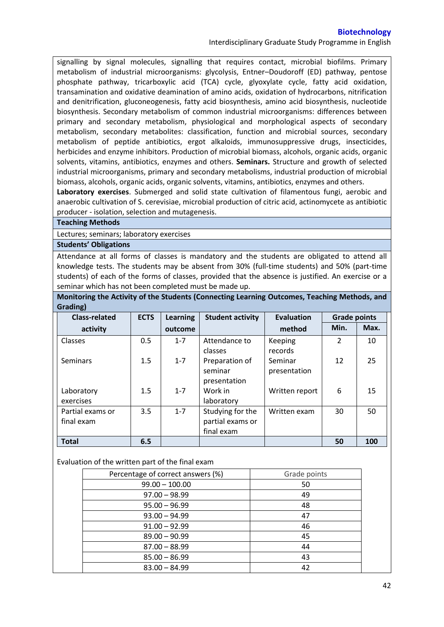Interdisciplinary Graduate Study Programme in English

signalling by signal molecules, signalling that requires contact, microbial biofilms. Primary metabolism of industrial microorganisms: glycolysis, Entner–Doudoroff (ED) pathway, pentose phosphate pathway, tricarboxylic acid (TCA) cycle, glyoxylate cycle, fatty acid oxidation, transamination and oxidative deamination of amino acids, oxidation of hydrocarbons, nitrification and denitrification, gluconeogenesis, fatty acid biosynthesis, amino acid biosynthesis, nucleotide biosynthesis. Secondary metabolism of common industrial microorganisms: differences between primary and secondary metabolism, physiological and morphological aspects of secondary metabolism, secondary metabolites: classification, function and microbial sources, secondary metabolism of peptide antibiotics, ergot alkaloids, immunosuppressive drugs, insecticides, herbicides and enzyme inhibitors. Production of microbial biomass, alcohols, organic acids, organic solvents, vitamins, antibiotics, enzymes and others. **Seminars.** Structure and growth of selected industrial microorganisms, primary and secondary metabolisms, industrial production of microbial biomass, alcohols, organic acids, organic solvents, vitamins, antibiotics, enzymes and others.

**Laboratory exercises**. Submerged and solid state cultivation of filamentous fungi, aerobic and anaerobic cultivation of S. cerevisiae, microbial production of citric acid, actinomycete as antibiotic producer - isolation, selection and mutagenesis.

## **Teaching Methods**

Lectures; seminars; laboratory exercises

## **Students' Obligations**

Attendance at all forms of classes is mandatory and the students are obligated to attend all knowledge tests. The students may be absent from 30% (full-time students) and 50% (part-time students) of each of the forms of classes, provided that the absence is justified. An exercise or a seminar which has not been completed must be made up.

| Monitoring the Activity of the Students (Connecting Learning Outcomes, Teaching Methods, and |  |
|----------------------------------------------------------------------------------------------|--|
| Grading)                                                                                     |  |

| <b>Class-related</b> | <b>ECTS</b> | <b>Learning</b> | <b>Student activity</b> | <b>Evaluation</b> | <b>Grade points</b> |      |
|----------------------|-------------|-----------------|-------------------------|-------------------|---------------------|------|
| activity             |             | outcome         |                         | method            | Min.                | Max. |
| Classes              | 0.5         | $1 - 7$         | Attendance to           | Keeping           | $\overline{2}$      | 10   |
|                      |             |                 | classes                 | records           |                     |      |
| Seminars             | 1.5         | $1 - 7$         | Preparation of          | Seminar           | 12                  | 25   |
|                      |             |                 | seminar                 | presentation      |                     |      |
|                      |             |                 | presentation            |                   |                     |      |
| Laboratory           | 1.5         | $1 - 7$         | Work in                 | Written report    | 6                   | 15   |
| exercises            |             |                 | laboratory              |                   |                     |      |
| Partial exams or     | 3.5         | $1 - 7$         | Studying for the        | Written exam      | 30                  | 50   |
| final exam           |             |                 | partial exams or        |                   |                     |      |
|                      |             |                 | final exam              |                   |                     |      |
| <b>Total</b>         | 6.5         |                 |                         |                   | 50                  | 100  |

# Evaluation of the written part of the final exam

| Percentage of correct answers (%) | Grade points |
|-----------------------------------|--------------|
| $99.00 - 100.00$                  | 50           |
| $97.00 - 98.99$                   | 49           |
| $95.00 - 96.99$                   | 48           |
| $93.00 - 94.99$                   | 47           |
| $91.00 - 92.99$                   | 46           |
| $89.00 - 90.99$                   | 45           |
| $87.00 - 88.99$                   | 44           |
| $85.00 - 86.99$                   | 43           |
| $83.00 - 84.99$                   |              |